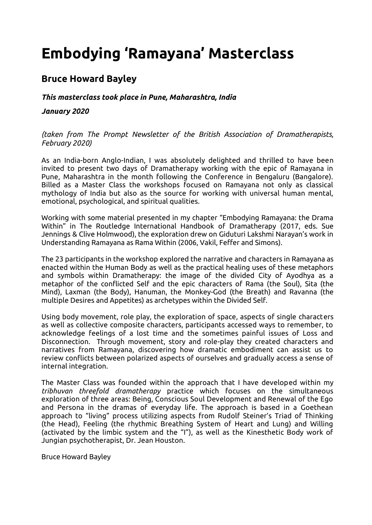# **Embodying 'Ramayana' Masterclass**

## **Bruce Howard Bayley**

### *This masterclass took place in Pune, Maharashtra, India*

#### *January 2020*

#### *(taken from The Prompt Newsletter of the British Association of Dramatherapists, February 2020)*

As an India-born Anglo-Indian, I was absolutely delighted and thrilled to have been invited to present two days of Dramatherapy working with the epic of Ramayana in Pune, Maharashtra in the month following the Conference in Bengaluru (Bangalore). Billed as a Master Class the workshops focused on Ramayana not only as classical mythology of India but also as the source for working with universal human mental, emotional, psychological, and spiritual qualities.

Working with some material presented in my chapter "Embodying Ramayana: the Drama Within" in The Routledge International Handbook of Dramatherapy (2017, eds. Sue Jennings & Clive Holmwood), the exploration drew on Giduturi Lakshmi Narayan's work in Understanding Ramayana as Rama Within (2006, Vakil, Feffer and Simons).

The 23 participants in the workshop explored the narrative and characters in Ramayana as enacted within the Human Body as well as the practical healing uses of these metaphors and symbols within Dramatherapy: the image of the divided City of Ayodhya as a metaphor of the conflicted Self and the epic characters of Rama (the Soul), Sita (the Mind), Laxman (the Body), Hanuman, the Monkey-God (the Breath) and Ravanna (the multiple Desires and Appetites) as archetypes within the Divided Self.

Using body movement, role play, the exploration of space, aspects of single characters as well as collective composite characters, participants accessed ways to remember, to acknowledge feelings of a lost time and the sometimes painful issues of Loss and Disconnection. Through movement, story and role-play they created characters and narratives from Ramayana, discovering how dramatic embodiment can assist us to review conflicts between polarized aspects of ourselves and gradually access a sense of internal integration.

The Master Class was founded within the approach that I have developed within my *tribhuvan threefold dramatherapy* practice which focuses on the simultaneous exploration of three areas: Being, Conscious Soul Development and Renewal of the Ego and Persona in the dramas of everyday life. The approach is based in a Goethean approach to "living" process utilizing aspects from Rudolf Steiner's Triad of Thinking (the Head), Feeling (the rhythmic Breathing System of Heart and Lung) and Willing (activated by the limbic system and the "I"), as well as the Kinesthetic Body work of Jungian psychotherapist, Dr. Jean Houston.

Bruce Howard Bayley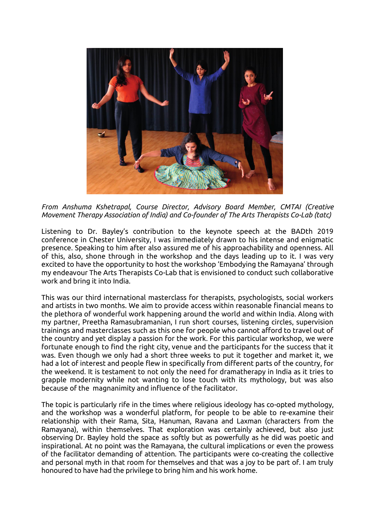

*From Anshuma Kshetrapal, Course Director, Advisory Board Member, CMTAI (Creative Movement Therapy Association of India) and Co-founder of The Arts Therapists Co-Lab (tatc)*

Listening to Dr. Bayley's contribution to the keynote speech at the BADth 2019 conference in Chester University, I was immediately drawn to his intense and enigmatic presence. Speaking to him after also assured me of his approachability and openness. All of this, also, shone through in the workshop and the days leading up to it. I was very excited to have the opportunity to host the workshop 'Embodying the Ramayana' through my endeavour The Arts Therapists Co-Lab that is envisioned to conduct such collaborative work and bring it into India.

This was our third international masterclass for therapists, psychologists, social workers and artists in two months. We aim to provide access within reasonable financial means to the plethora of wonderful work happening around the world and within India. Along with my partner, Preetha Ramasubramanian, I run short courses, listening circles, supervision trainings and masterclasses such as this one for people who cannot afford to travel out of the country and yet display a passion for the work. For this particular workshop, we were fortunate enough to find the right city, venue and the participants for the success that it was. Even though we only had a short three weeks to put it together and market it, we had a lot of interest and people flew in specifically from different parts of the country, for the weekend. It is testament to not only the need for dramatherapy in India as it tries to grapple modernity while not wanting to lose touch with its mythology, but was also because of the magnanimity and influence of the facilitator.

The topic is particularly rife in the times where religious ideology has co-opted mythology, and the workshop was a wonderful platform, for people to be able to re-examine their relationship with their Rama, Sita, Hanuman, Ravana and Laxman (characters from the Ramayana), within themselves. That exploration was certainly achieved, but also just observing Dr. Bayley hold the space as softly but as powerfully as he did was poetic and inspirational. At no point was the Ramayana, the cultural implications or even the prowess of the facilitator demanding of attention. The participants were co-creating the collective and personal myth in that room for themselves and that was a joy to be part of. I am truly honoured to have had the privilege to bring him and his work home.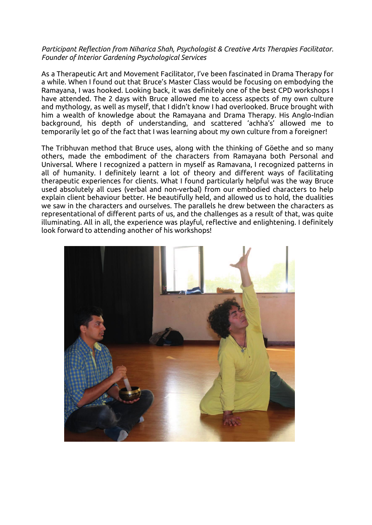#### *Participant Reflection from Niharica Shah, Psychologist & Creative Arts Therapies Facilitator. Founder of Interior Gardening Psychological Services*

As a Therapeutic Art and Movement Facilitator, I've been fascinated in Drama Therapy for a while. When I found out that Bruce's Master Class would be focusing on embodying the Ramayana, I was hooked. Looking back, it was definitely one of the best CPD workshops I have attended. The 2 days with Bruce allowed me to access aspects of my own culture and mythology, as well as myself, that I didn't know I had overlooked. Bruce brought with him a wealth of knowledge about the Ramayana and Drama Therapy. His Anglo-Indian background, his depth of understanding, and scattered 'achha's' allowed me to temporarily let go of the fact that I was learning about my own culture from a foreigner!

The Tribhuvan method that Bruce uses, along with the thinking of Göethe and so many others, made the embodiment of the characters from Ramayana both Personal and Universal. Where I recognized a pattern in myself as Ramavana, I recognized patterns in all of humanity. I definitely learnt a lot of theory and different ways of facilitating therapeutic experiences for clients. What I found particularly helpful was the way Bruce used absolutely all cues (verbal and non-verbal) from our embodied characters to help explain client behaviour better. He beautifully held, and allowed us to hold, the dualities we saw in the characters and ourselves. The parallels he drew between the characters as representational of different parts of us, and the challenges as a result of that, was quite illuminating. All in all, the experience was playful, reflective and enlightening. I definitely look forward to attending another of his workshops!